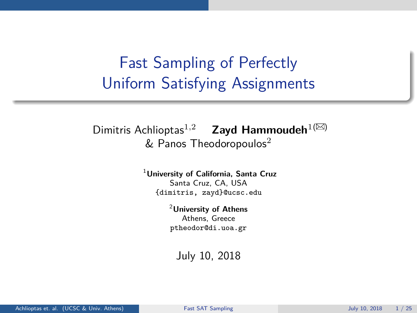# <span id="page-0-0"></span>Fast Sampling of Perfectly Uniform Satisfying Assignments

### [Dimitris Achlioptas](mailto:dimitris@ucsc.edu)<sup>1,2</sup> **[Zayd Hammoudeh](mailto:zayd@ucsc.edu)**<sup>1( $\boxtimes$ )</sup>  $&$  [Panos Theodoropoulos](mailto:ptheodor@di.uoa.gr)<sup>2</sup>

<sup>1</sup>**University of California, Santa Cruz** Santa Cruz, CA, USA {dimitris, zayd}@ucsc.edu

> <sup>2</sup>**University of Athens** Athens, Greece ptheodor@di.uoa.gr

July 10, 2018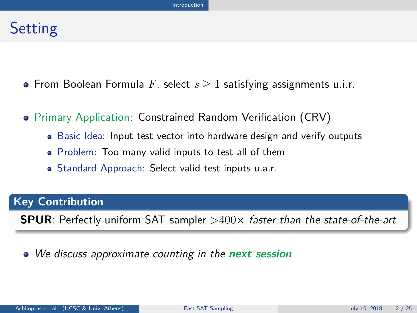### <span id="page-1-0"></span>**Setting**

- From Boolean Formula *F*, select *s* ≥ 1 satisfying assignments u.i.r.
- Primary Application: Constrained Random Verification (CRV)
	- Basic Idea: Input test vector into hardware design and verify outputs
	- Problem: Too many valid inputs to test all of them
	- Standard Approach: Select valid test inputs u.a.r.

#### **Key Contribution**

**SPUR**: Perfectly uniform SAT sampler  $>400\times$  faster than the state-of-the-art

#### We discuss approximate counting in the **next session**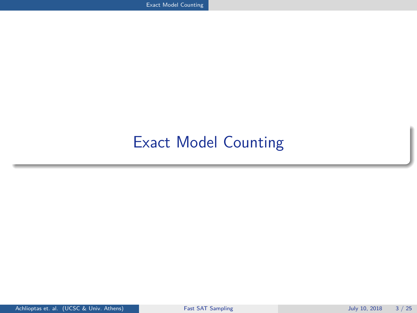# <span id="page-2-0"></span>[Exact Model Counting](#page-2-0)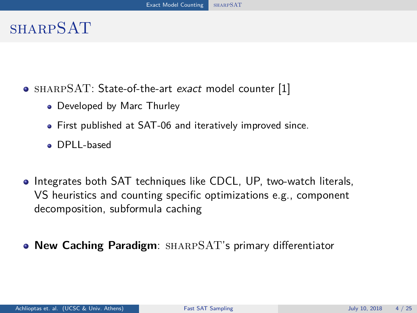### <span id="page-3-0"></span>**SHARPSAT**

- SHARPSAT: State-of-the-art exact model counter [\[1\]](#page-30-1)
	- Developed by Marc Thurley
	- First published at SAT-06 and iteratively improved since.
	- DPLL-based
- **Integrates both SAT techniques like CDCL, UP, two-watch literals,** VS heuristics and counting specific optimizations e.g., component decomposition, subformula caching
- **New Caching Paradigm**: sharpSAT's primary differentiator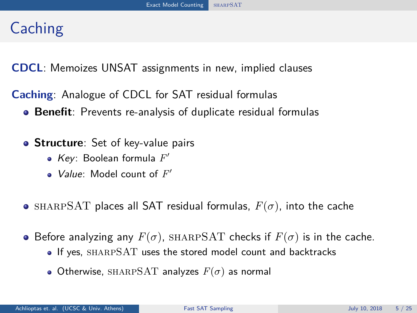# **Caching**

**CDCL**: Memoizes UNSAT assignments in new, implied clauses

**Caching**: Analogue of CDCL for SAT residual formulas

- **Benefit**: Prevents re-analysis of duplicate residual formulas
- **Structure**: Set of key-value pairs
	- Key: Boolean formula *F* 0
	- Value: Model count of  $F'$
- **•** SHARPSAT places all SAT residual formulas,  $F(\sigma)$ , into the cache
- **•** Before analyzing any  $F(\sigma)$ , SHARPSAT checks if  $F(\sigma)$  is in the cache.
	- If yes, sharpSAT uses the stored model count and backtracks
	- Otherwise, SHARPSAT analyzes  $F(\sigma)$  as normal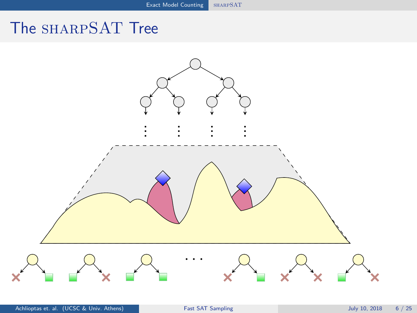# <span id="page-5-0"></span>The SHARPSAT Tree

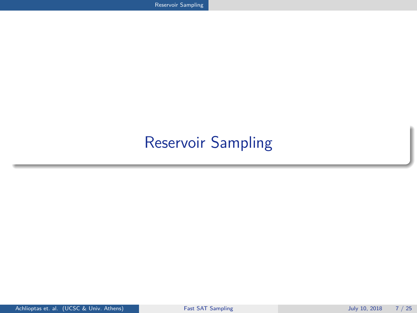# <span id="page-6-0"></span>[Reservoir Sampling](#page-6-0)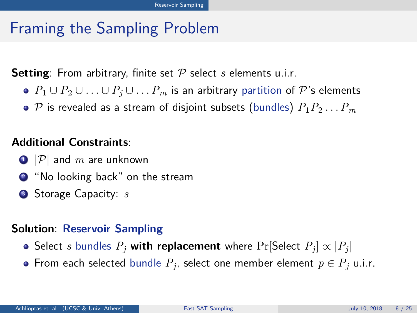# Framing the Sampling Problem

**Setting**: From arbitrary, finite set P select *s* elements u.i.r.

- *P*<sup>1</sup> ∪ *P*<sup>2</sup> ∪ . . . ∪ *P<sup>j</sup>* ∪ . . .*P<sup>m</sup>* is an arbitrary partition of P's elements
- $\bullet$   ${\cal P}$  is revealed as a stream of disjoint subsets (bundles)  $P_1P_2 \ldots P_m$

#### **Additional Constraints**:

- $\bigcirc$  |P| and *m* are unknown
- <sup>2</sup> "No looking back" on the stream
- <sup>3</sup> Storage Capacity: *s*

#### **Solution**: **Reservoir Sampling**

- <code>Select  $s$  bundles  $P_j$  with replacement</mark> where <code>Pr[Select  $P_j]\propto|P_j|$ </code></code>
- From each selected bundle  $P_j$ , select one member element  $p \in P_j$  u.i.r.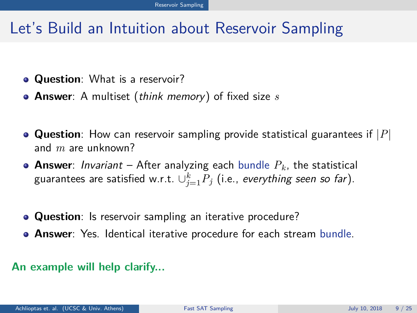# Let's Build an Intuition about Reservoir Sampling

- **Question**: What is a reservoir?
- **Answer**: A multiset (think memory) of fixed size *s*
- **Question**: How can reservoir sampling provide statistical guarantees if |*P*| and *m* are unknown?
- **Answer**: Invariant After analyzing each bundle *Pk*, the statistical guarantees are satisfied w.r.t.  $\cup_{j=1}^k P_j$  (i.e., *everything seen so far*).
- **Question**: Is reservoir sampling an iterative procedure?
- **Answer**: Yes. Identical iterative procedure for each stream bundle.

#### **An example will help clarify...**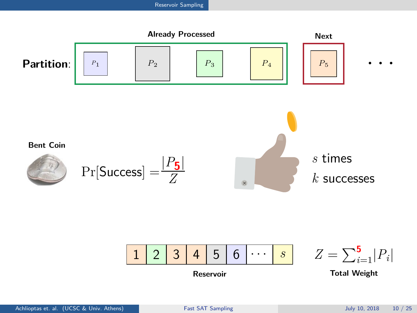

**Reservoir**

**Total Weight**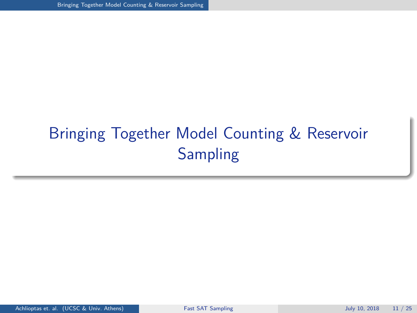# <span id="page-10-0"></span>[Bringing Together Model Counting & Reservoir](#page-10-0) [Sampling](#page-10-0)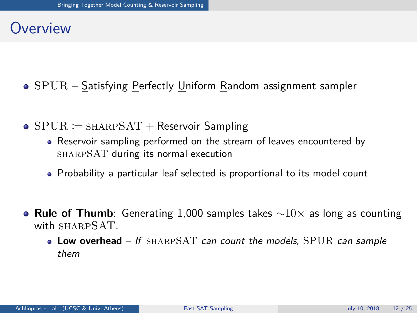### **Overview**

- $\bullet$  SPUR Satisfying Perfectly Uniform Random assignment sampler
- $\bullet$  SPUR  $\coloneqq$  SHARPSAT + Reservoir Sampling
	- Reservoir sampling performed on the stream of leaves encountered by sharpSAT during its normal execution
	- Probability a particular leaf selected is proportional to its model count
- **Rule of Thumb**: Generating 1,000 samples takes ∼10× as long as counting with SHARPSAT.
	- **Low overhead** If sharpSAT can count the models, SPUR can sample them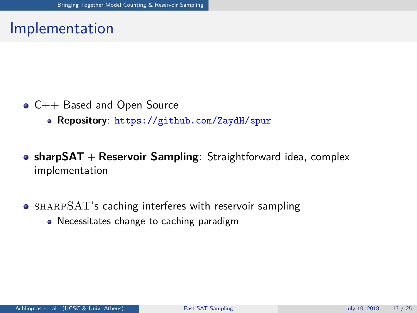### Implementation

- $\bullet$  C++ Based and Open Source
	- **Repository**: <https://github.com/ZaydH/spur>
- **sharpSAT** + **Reservoir Sampling**: Straightforward idea, complex implementation
- SHARPSAT's caching interferes with reservoir sampling
	- Necessitates change to caching paradigm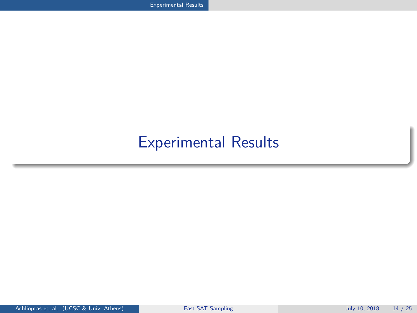# <span id="page-13-0"></span>[Experimental Results](#page-13-0)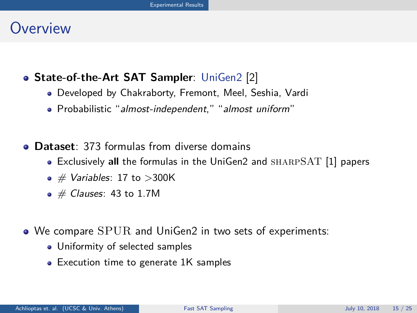### **Overview**

### **State-of-the-Art SAT Sampler**: UniGen2 [\[2\]](#page-30-2)

- Developed by Chakraborty, Fremont, Meel, Seshia, Vardi
- Probabilistic "almost-independent," "almost uniform"
- **Dataset**: 373 formulas from diverse domains
	- Exclusively **all** the formulas in the UniGen2 and sharpSAT [\[1\]](#page-30-1) papers
	- $\bullet \#$  Variables: 17 to >300K
	- $\bullet \#$  Clauses: 43 to 1.7M
- We compare SPUR and UniGen2 in two sets of experiments:
	- Uniformity of selected samples
	- Execution time to generate 1K samples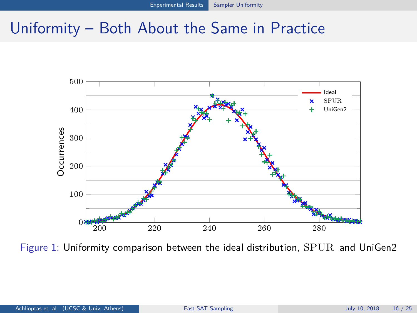### <span id="page-15-0"></span>Uniformity – Both About the Same in Practice



Figure 1: Uniformity comparison between the ideal distribution, SPUR and UniGen2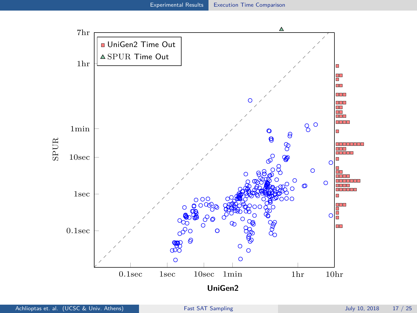<span id="page-16-0"></span>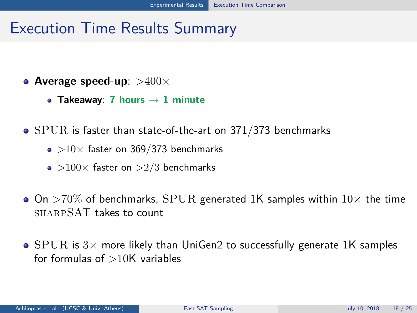### Execution Time Results Summary

- **Average speed-up**: >400×
	- **Takeaway**: **7 hours** → **1 minute**
- SPUR is faster than state-of-the-art on 371/373 benchmarks
	- $\bullet$  >10 $\times$  faster on 369/373 benchmarks
	- $\bullet$  >100 $\times$  faster on >2/3 benchmarks
- $\bullet$  On  $>70\%$  of benchmarks, SPUR generated 1K samples within  $10\times$  the time sharpSAT takes to count
- $\bullet$  SPUR is  $3\times$  more likely than UniGen2 to successfully generate 1K samples for formulas of  $>10$ K variables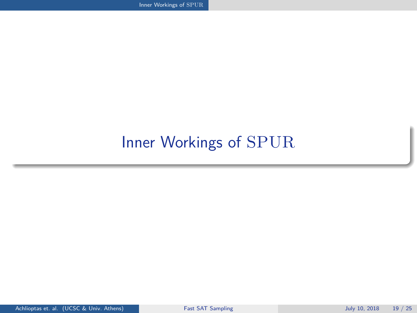<span id="page-18-0"></span>[Inner Workings of](#page-18-0) SPUR

# [Inner Workings of](#page-18-0) SPUR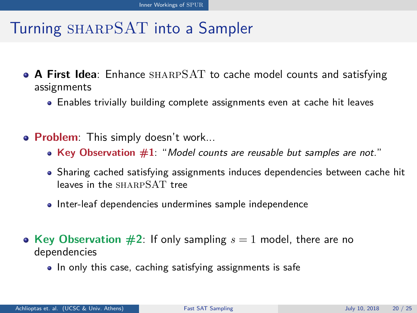# Turning sharpSAT into a Sampler

- **A First Idea**: Enhance sharpSAT to cache model counts and satisfying assignments
	- Enables trivially building complete assignments even at cache hit leaves
- **Problem**: This simply doesn't work...
	- **Key Observation #1**: "Model counts are reusable but samples are not."
	- Sharing cached satisfying assignments induces dependencies between cache hit leaves in the SHARPSAT tree
	- Inter-leaf dependencies undermines sample independence
- **Key Observation**  $\#2$ **:** If only sampling  $s = 1$  model, there are no dependencies
	- In only this case, caching satisfying assignments is safe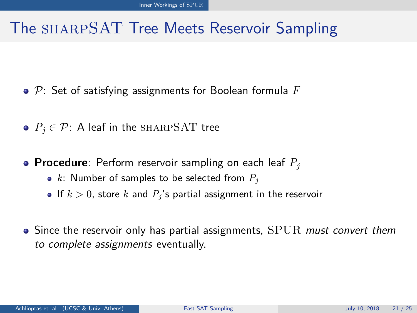# The sharpSAT Tree Meets Reservoir Sampling

- P: Set of satisfying assignments for Boolean formula *F*
- $P_i \in \mathcal{P}$ : A leaf in the SHARPSAT tree
- **Procedure**: Perform reservoir sampling on each leaf *P<sup>j</sup>*
	- *k*: Number of samples to be selected from *P<sup>j</sup>*
	- If  $k > 0$ , store k and  $P_i$ 's partial assignment in the reservoir
- $\bullet$  Since the reservoir only has partial assignments,  ${\rm SPUR}$  must convert them to complete assignments eventually.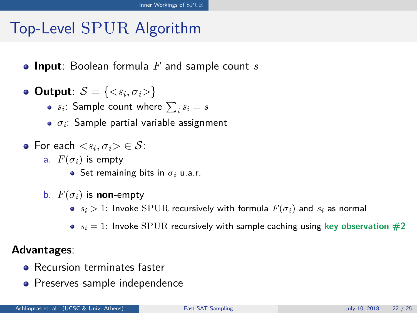# Top-Level SPUR Algorithm

- **Input**: Boolean formula *F* and sample count *s*
- **Output**:  $S = \{ \langle s_i, \sigma_i \rangle \}$ 
	- *s*<sub>*i*</sub>: Sample count where  $\sum_i s_i = s$
	- $\bullet$   $\sigma_i$ : Sample partial variable assignment
- For each  $\langle s_i, \sigma_i \rangle \in S$ :
	- a.  $F(\sigma_i)$  is empty
		- $\bullet$  Set remaining bits in  $\sigma_i$  u.a.r.
	- b.  $F(\sigma_i)$  is **non**-empty
		- $s_i > 1$ : Invoke SPUR recursively with formula  $F(\sigma_i)$  and  $s_i$  as normal
		- $\bullet$   $s_i = 1$ : Invoke SPUR recursively with sample caching using key observation  $\#2$

#### **Advantages**:

- Recursion terminates faster
- Preserves sample independence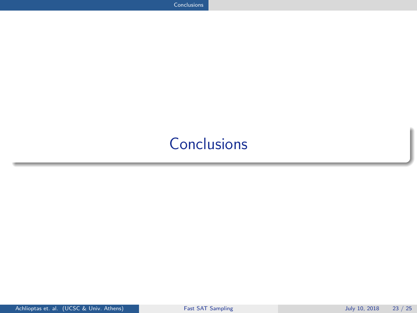# <span id="page-22-0"></span>**[Conclusions](#page-22-0)**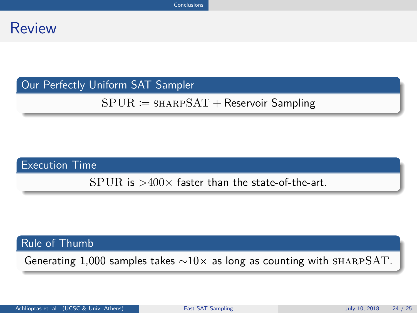### Review

#### Our Perfectly Uniform SAT Sampler

#### $SPUR \coloneqq$  SHARP $SAT +$ Reservoir Sampling

#### Execution Time

 $SPIR$  is  $>400\times$  faster than the state-of-the-art.

#### Rule of Thumb

Generating 1,000 samples takes  $\sim10\times$  as long as counting with SHARPSAT.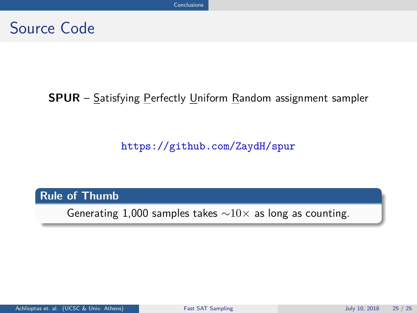### Source Code

### **SPUR** – Satisfying Perfectly Uniform Random assignment sampler

<https://github.com/ZaydH/spur>

#### **Rule of Thumb**

Generating 1,000 samples takes  $\sim10\times$  as long as counting.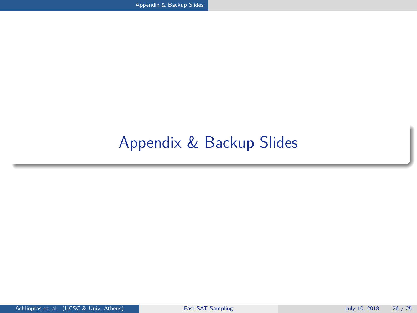<span id="page-25-0"></span>[Appendix & Backup Slides](#page-25-0)

# [Appendix & Backup Slides](#page-25-0)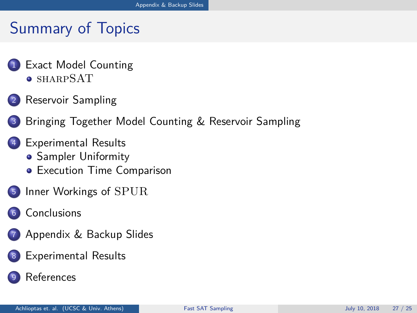# Summary of Topics

- 1 [Exact Model Counting](#page-5-0) [sharpSAT](#page-6-0)
- 2 [Reservoir Sampling](#page-13-0)
- 3 [Bringing Together Model Counting & Reservoir Sampling](#page-30-0)
- 4 [Experimental Results](#page-30-0)
	- **[Sampler Uniformity](#page-30-0)**
	- **•** [Execution Time Comparison](#page-30-0)
- <sup>5</sup> [Inner Workings of](#page-30-0) SPUR
- 6 [Conclusions](#page-30-0)
	- 7 [Appendix & Backup Slides](#page-30-0)
- 8 [Experimental Results](#page-30-0)
	- **[References](#page-30-0)**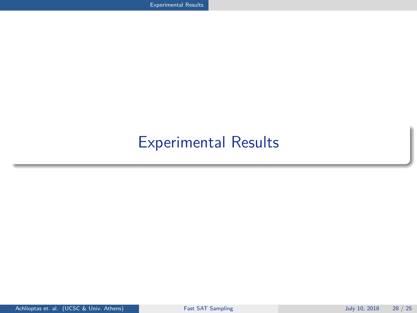# <span id="page-27-0"></span>[Experimental Results](#page-27-0)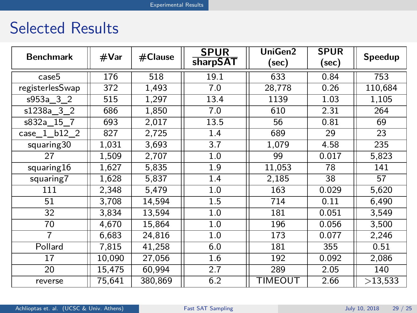### Selected Results

| <b>Benchmark</b> | #Var   | $#$ Clause | <b>SPUR</b><br>sharpSAT | UniGen2<br>(sec) | <b>SPUR</b><br>(sec) | Speedup |
|------------------|--------|------------|-------------------------|------------------|----------------------|---------|
| case5            | 176    | 518        | 19.1                    | 633              | 0.84                 | 753     |
| registerlesSwap  | 372    | 1,493      | 7.0                     | 28,778           | 0.26                 | 110,684 |
| s953a 3 2        | 515    | 1,297      | 13.4                    | 1139             | 1.03                 | 1,105   |
| s1238a 3 2       | 686    | 1,850      | 7.0                     | 610              | 2.31                 | 264     |
| s832a 15 7       | 693    | 2,017      | 13.5                    | 56               | 0.81                 | 69      |
| case 1 b12 2     | 827    | 2,725      | 1.4                     | 689              | 29                   | 23      |
| squaring30       | 1,031  | 3,693      | 3.7                     | 1,079            | 4.58                 | 235     |
| 27               | 1,509  | 2,707      | 1.0                     | 99               | 0.017                | 5,823   |
| squaring16       | 1,627  | 5,835      | 1.9                     | 11,053           | 78                   | 141     |
| squaring7        | 1,628  | 5,837      | 1.4                     | 2,185            | 38                   | 57      |
| 111              | 2,348  | 5,479      | 1.0                     | 163              | 0.029                | 5,620   |
| 51               | 3,708  | 14,594     | 1.5                     | 714              | 0.11                 | 6,490   |
| 32               | 3,834  | 13,594     | 1.0                     | 181              | 0.051                | 3,549   |
| 70               | 4,670  | 15,864     | 1.0                     | 196              | 0.056                | 3,500   |
| $\overline{7}$   | 6,683  | 24,816     | 1.0                     | 173              | 0.077                | 2,246   |
| Pollard          | 7,815  | 41,258     | 6.0                     | 181              | 355                  | 0.51    |
| 17               | 10,090 | 27,056     | 1.6                     | 192              | 0.092                | 2,086   |
| 20               | 15,475 | 60,994     | 2.7                     | 289              | 2.05                 | 140     |
| reverse          | 75,641 | 380,869    | 6.2                     | TIMEOUT          | 2.66                 | >13,533 |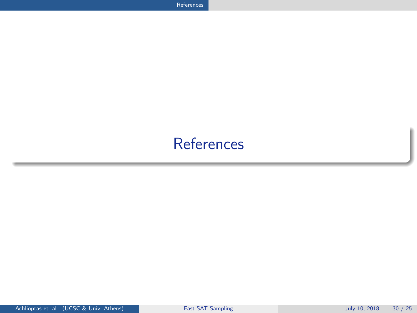# <span id="page-29-0"></span>**[References](#page-29-0)**